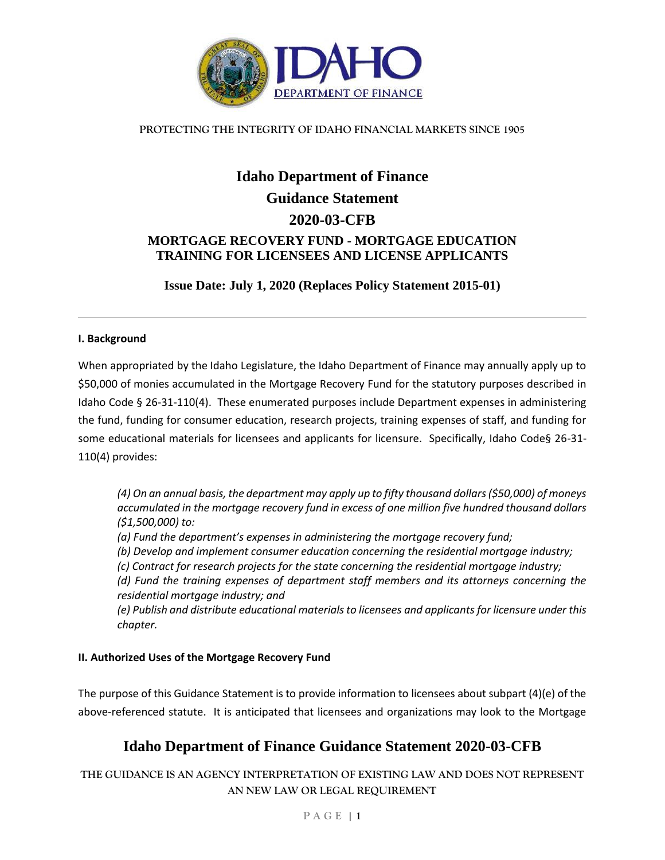

## **PROTECTING THE INTEGRITY OF IDAHO FINANCIAL MARKETS SINCE 1905**

# **Idaho Department of Finance Guidance Statement 2020-03-CFB MORTGAGE RECOVERY FUND - MORTGAGE EDUCATION TRAINING FOR LICENSEES AND LICENSE APPLICANTS**

**Issue Date: July 1, 2020 (Replaces Policy Statement 2015-01)**

### **I. Background**

When appropriated by the Idaho Legislature, the Idaho Department of Finance may annually apply up to \$50,000 of monies accumulated in the Mortgage Recovery Fund for the statutory purposes described in Idaho Code § 26-31-110(4). These enumerated purposes include Department expenses in administering the fund, funding for consumer education, research projects, training expenses of staff, and funding for some educational materials for licensees and applicants for licensure. Specifically, Idaho Code§ 26-31- 110(4) provides:

*(4) On an annual basis, the department may apply up to fifty thousand dollars (\$50,000) of moneys accumulated in the mortgage recovery fund in excess of one million five hundred thousand dollars (\$1,500,000) to:* 

*(a) Fund the department's expenses in administering the mortgage recovery fund;* 

*(b) Develop and implement consumer education concerning the residential mortgage industry;*

*(c) Contract for research projects for the state concerning the residential mortgage industry;*

*(d) Fund the training expenses of department staff members and its attorneys concerning the residential mortgage industry; and*

*(e) Publish and distribute educational materials to licensees and applicants for licensure under this chapter.*

### **II. Authorized Uses of the Mortgage Recovery Fund**

The purpose of this Guidance Statement is to provide information to licensees about subpart (4)(e) of the above-referenced statute. It is anticipated that licensees and organizations may look to the Mortgage

# **Idaho Department of Finance Guidance Statement 2020-03-CFB**

**THE GUIDANCE IS AN AGENCY INTERPRETATION OF EXISTING LAW AND DOES NOT REPRESENT AN NEW LAW OR LEGAL REQUIREMENT**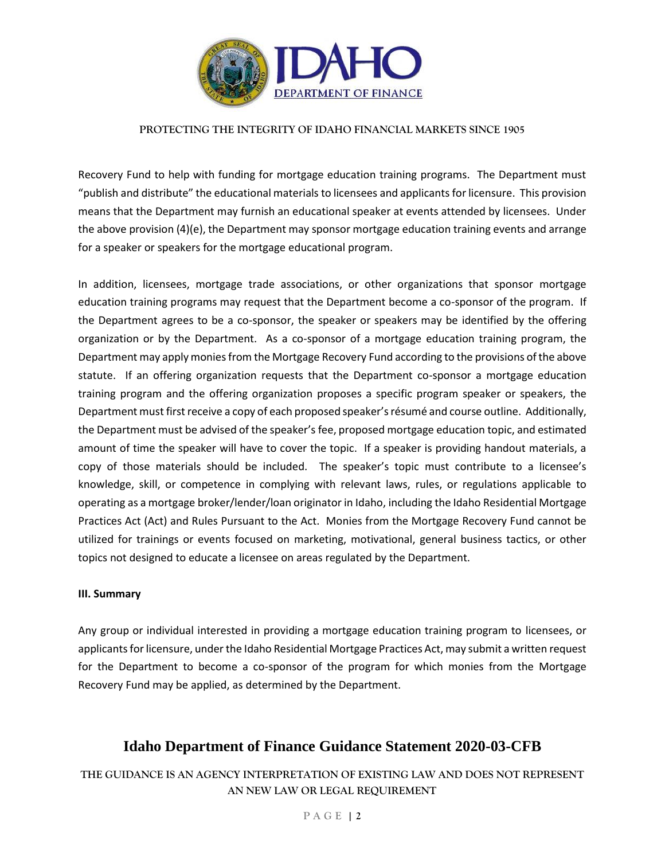

#### **PROTECTING THE INTEGRITY OF IDAHO FINANCIAL MARKETS SINCE 1905**

Recovery Fund to help with funding for mortgage education training programs. The Department must "publish and distribute" the educational materials to licensees and applicants for licensure. This provision means that the Department may furnish an educational speaker at events attended by licensees. Under the above provision (4)(e), the Department may sponsor mortgage education training events and arrange for a speaker or speakers for the mortgage educational program.

In addition, licensees, mortgage trade associations, or other organizations that sponsor mortgage education training programs may request that the Department become a co-sponsor of the program. If the Department agrees to be a co-sponsor, the speaker or speakers may be identified by the offering organization or by the Department. As a co-sponsor of a mortgage education training program, the Department may apply monies from the Mortgage Recovery Fund according to the provisions of the above statute. If an offering organization requests that the Department co-sponsor a mortgage education training program and the offering organization proposes a specific program speaker or speakers, the Department must first receive a copy of each proposed speaker's résumé and course outline. Additionally, the Department must be advised of the speaker's fee, proposed mortgage education topic, and estimated amount of time the speaker will have to cover the topic. If a speaker is providing handout materials, a copy of those materials should be included. The speaker's topic must contribute to a licensee's knowledge, skill, or competence in complying with relevant laws, rules, or regulations applicable to operating as a mortgage broker/lender/loan originator in Idaho, including the Idaho Residential Mortgage Practices Act (Act) and Rules Pursuant to the Act. Monies from the Mortgage Recovery Fund cannot be utilized for trainings or events focused on marketing, motivational, general business tactics, or other topics not designed to educate a licensee on areas regulated by the Department.

#### **III. Summary**

Any group or individual interested in providing a mortgage education training program to licensees, or applicants for licensure, under the Idaho Residential Mortgage Practices Act, may submit a written request for the Department to become a co-sponsor of the program for which monies from the Mortgage Recovery Fund may be applied, as determined by the Department.

# **Idaho Department of Finance Guidance Statement 2020-03-CFB**

**THE GUIDANCE IS AN AGENCY INTERPRETATION OF EXISTING LAW AND DOES NOT REPRESENT AN NEW LAW OR LEGAL REQUIREMENT**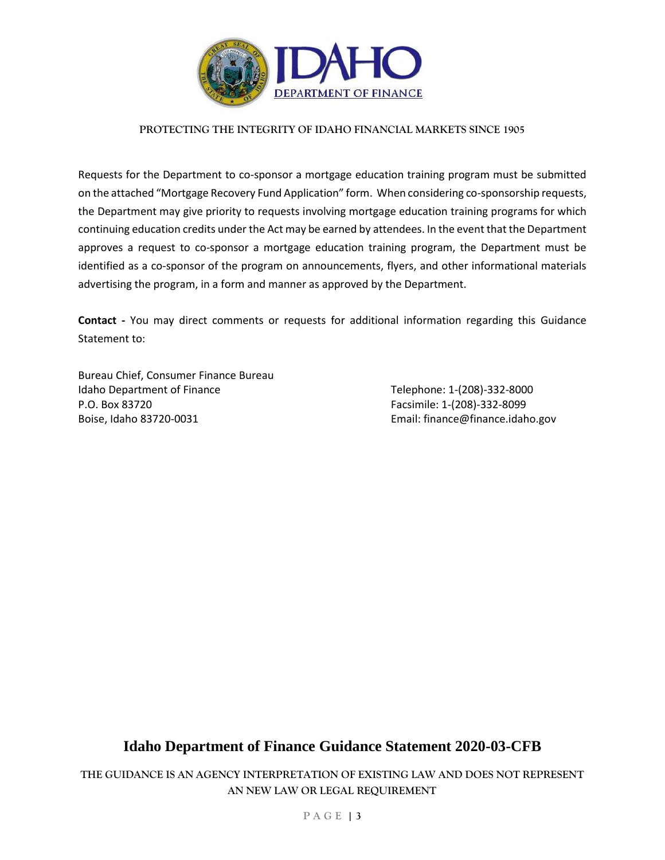

### **PROTECTING THE INTEGRITY OF IDAHO FINANCIAL MARKETS SINCE 1905**

Requests for the Department to co-sponsor a mortgage education training program must be submitted on the attached "Mortgage Recovery Fund Application" form. When considering co-sponsorship requests, the Department may give priority to requests involving mortgage education training programs for which continuing education credits under the Act may be earned by attendees. In the event that the Department approves a request to co-sponsor a mortgage education training program, the Department must be identified as a co-sponsor of the program on announcements, flyers, and other informational materials advertising the program, in a form and manner as approved by the Department.

**Contact -** You may direct comments or requests for additional information regarding this Guidance Statement to:

Bureau Chief, Consumer Finance Bureau Idaho Department of Finance Telephone: 1-(208)-332-8000 P.O. Box 83720 Facsimile: 1-(208)-332-8099 Boise, Idaho 83720-0031 **Email: finance@finance.idaho.gov** 

# **Idaho Department of Finance Guidance Statement 2020-03-CFB**

**THE GUIDANCE IS AN AGENCY INTERPRETATION OF EXISTING LAW AND DOES NOT REPRESENT AN NEW LAW OR LEGAL REQUIREMENT**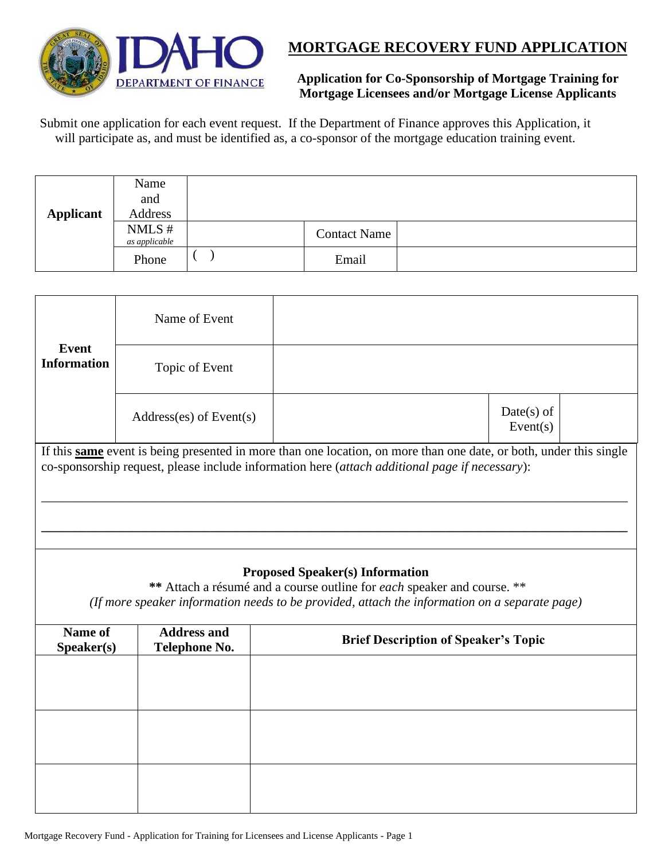



**Application for Co-Sponsorship of Mortgage Training for Mortgage Licensees and/or Mortgage License Applicants**

Submit one application for each event request. If the Department of Finance approves this Application, it will participate as, and must be identified as, a co-sponsor of the mortgage education training event.

| <b>Applicant</b> | Name<br>and<br>Address |                     |  |
|------------------|------------------------|---------------------|--|
|                  | NMLS#<br>as applicable | <b>Contact Name</b> |  |
|                  | Phone                  | Email               |  |

| <b>Event</b><br><b>Information</b>                                                                                                                                                                                   | Name of Event                       |                                                                                                                                                                                                                           |  |  |  |  |  |
|----------------------------------------------------------------------------------------------------------------------------------------------------------------------------------------------------------------------|-------------------------------------|---------------------------------------------------------------------------------------------------------------------------------------------------------------------------------------------------------------------------|--|--|--|--|--|
|                                                                                                                                                                                                                      | Topic of Event                      |                                                                                                                                                                                                                           |  |  |  |  |  |
|                                                                                                                                                                                                                      | $Address(es)$ of Event $(s)$        | $Date(s)$ of<br>Event(s)                                                                                                                                                                                                  |  |  |  |  |  |
| If this same event is being presented in more than one location, on more than one date, or both, under this single<br>co-sponsorship request, please include information here (attach additional page if necessary): |                                     |                                                                                                                                                                                                                           |  |  |  |  |  |
|                                                                                                                                                                                                                      |                                     |                                                                                                                                                                                                                           |  |  |  |  |  |
|                                                                                                                                                                                                                      |                                     | <b>Proposed Speaker(s) Information</b><br>** Attach a résumé and a course outline for <i>each</i> speaker and course. **<br>(If more speaker information needs to be provided, attach the information on a separate page) |  |  |  |  |  |
| Name of<br>Speaker(s)                                                                                                                                                                                                | <b>Address and</b><br>Telephone No. | <b>Brief Description of Speaker's Topic</b>                                                                                                                                                                               |  |  |  |  |  |
|                                                                                                                                                                                                                      |                                     |                                                                                                                                                                                                                           |  |  |  |  |  |
|                                                                                                                                                                                                                      |                                     |                                                                                                                                                                                                                           |  |  |  |  |  |
|                                                                                                                                                                                                                      |                                     |                                                                                                                                                                                                                           |  |  |  |  |  |